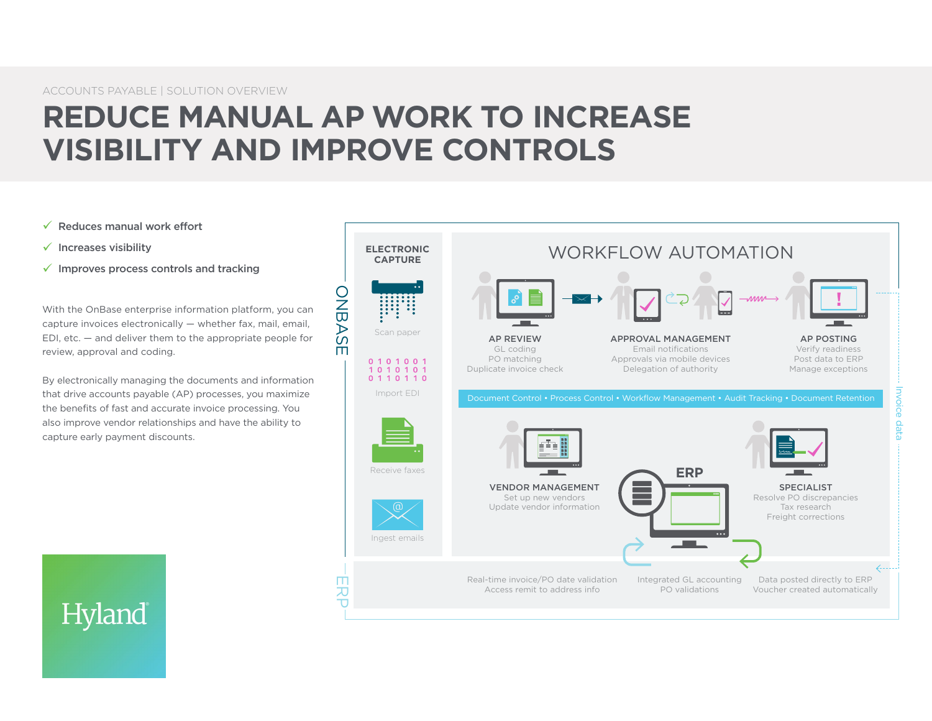# **REDUCE MANUAL AP WORK TO INCREASE VISIBILITY AND IMPROVE CONTROLS**

- $\checkmark$  Reduces manual work effort
- $\checkmark$  Increases visibility
- $\checkmark$  Improves process controls and tracking

With the OnBase enterprise information platform, you can capture invoices electronically — whether fax, mail, email, EDI, etc. — and deliver them to the appropriate people for review, approval and coding.

By electronically managing the documents and information that drive accounts payable (AP) processes, you maximize the benefits of fast and accurate invoice processing. You also improve vendor relationships and have the ability to capture early payment discounts.